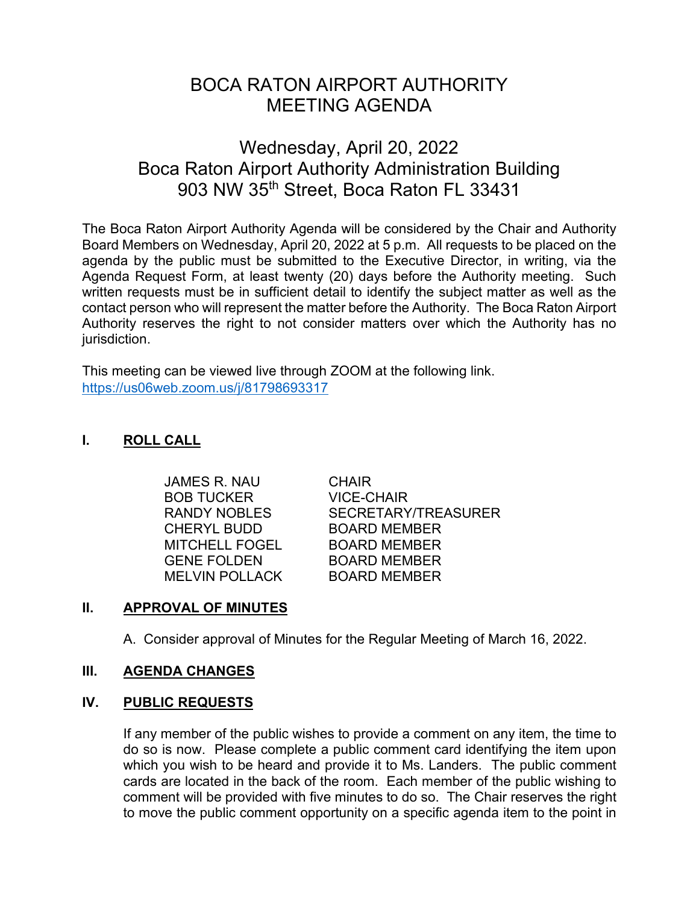# BOCA RATON AIRPORT AUTHORITY MEETING AGENDA

# Wednesday, April 20, 2022 Boca Raton Airport Authority Administration Building 903 NW 35th Street, Boca Raton FL 33431

The Boca Raton Airport Authority Agenda will be considered by the Chair and Authority Board Members on Wednesday, April 20, 2022 at 5 p.m. All requests to be placed on the agenda by the public must be submitted to the Executive Director, in writing, via the Agenda Request Form, at least twenty (20) days before the Authority meeting. Such written requests must be in sufficient detail to identify the subject matter as well as the contact person who will represent the matter before the Authority. The Boca Raton Airport Authority reserves the right to not consider matters over which the Authority has no jurisdiction.

This meeting can be viewed live through ZOOM at the following link. <https://us06web.zoom.us/j/81798693317>

# **I. ROLL CALL**

 JAMES R. NAU CHAIR BOB TUCKER VICE-CHAIR CHERYL BUDD BOARD MEMBER MITCHELL FOGEL BOARD MEMBER GENE FOLDEN BOARD MEMBER MELVIN POLLACK BOARD MEMBER

RANDY NOBLES SECRETARY/TREASURER

# **II. APPROVAL OF MINUTES**

A. Consider approval of Minutes for the Regular Meeting of March 16, 2022.

# **III. AGENDA CHANGES**

# **IV. PUBLIC REQUESTS**

If any member of the public wishes to provide a comment on any item, the time to do so is now. Please complete a public comment card identifying the item upon which you wish to be heard and provide it to Ms. Landers. The public comment cards are located in the back of the room. Each member of the public wishing to comment will be provided with five minutes to do so. The Chair reserves the right to move the public comment opportunity on a specific agenda item to the point in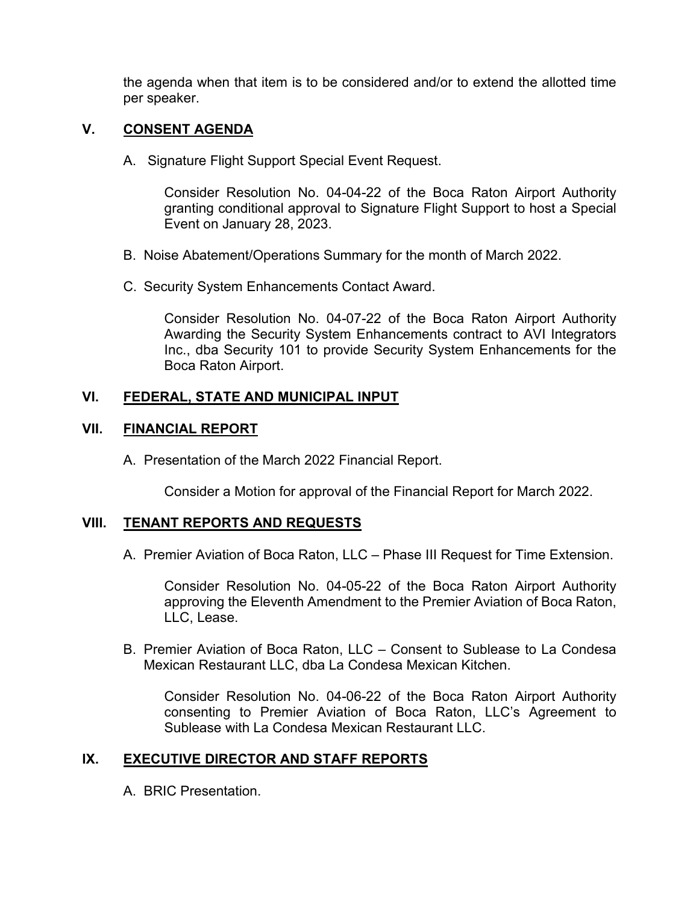the agenda when that item is to be considered and/or to extend the allotted time per speaker.

#### **V. CONSENT AGENDA**

A. Signature Flight Support Special Event Request.

Consider Resolution No. 04-04-22 of the Boca Raton Airport Authority granting conditional approval to Signature Flight Support to host a Special Event on January 28, 2023.

- B. Noise Abatement/Operations Summary for the month of March 2022.
- C. Security System Enhancements Contact Award.

Consider Resolution No. 04-07-22 of the Boca Raton Airport Authority Awarding the Security System Enhancements contract to AVI Integrators Inc., dba Security 101 to provide Security System Enhancements for the Boca Raton Airport.

#### **VI. FEDERAL, STATE AND MUNICIPAL INPUT**

#### **VII. FINANCIAL REPORT**

A. Presentation of the March 2022 Financial Report.

Consider a Motion for approval of the Financial Report for March 2022.

#### **VIII. TENANT REPORTS AND REQUESTS**

A. Premier Aviation of Boca Raton, LLC – Phase III Request for Time Extension.

Consider Resolution No. 04-05-22 of the Boca Raton Airport Authority approving the Eleventh Amendment to the Premier Aviation of Boca Raton, LLC, Lease.

B. Premier Aviation of Boca Raton, LLC – Consent to Sublease to La Condesa Mexican Restaurant LLC, dba La Condesa Mexican Kitchen.

Consider Resolution No. 04-06-22 of the Boca Raton Airport Authority consenting to Premier Aviation of Boca Raton, LLC's Agreement to Sublease with La Condesa Mexican Restaurant LLC.

# **IX. EXECUTIVE DIRECTOR AND STAFF REPORTS**

A. BRIC Presentation.